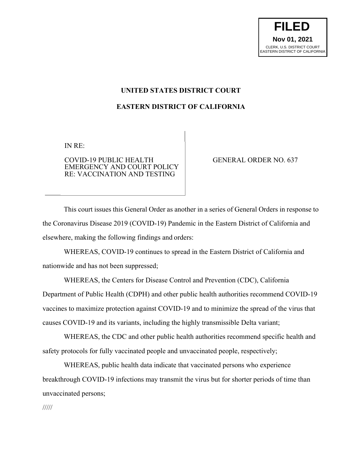**FILED Nov 01, 2021** CLERK, U.S. DISTRICT COURT EASTERN DISTRICT OF CALIFORNIA

#### **UNITED STATES DISTRICT COURT**

#### **EASTERN DISTRICT OF CALIFORNIA**

IN RE:

COVID-19 PUBLIC HEALTH EMERGENCY AND COURT POLICY RE: VACCINATION AND TESTING

GENERAL ORDER NO. 637

This court issues this General Order as another in a series of General Orders in response to the Coronavirus Disease 2019 (COVID-19) Pandemic in the Eastern District of California and elsewhere, making the following findings and orders:

WHEREAS, COVID-19 continues to spread in the Eastern District of California and nationwide and has not been suppressed;

WHEREAS, the Centers for Disease Control and Prevention (CDC), California Department of Public Health (CDPH) and other public health authorities recommend COVID-19 vaccines to maximize protection against COVID-19 and to minimize the spread of the virus that causes COVID-19 and its variants, including the highly transmissible Delta variant;

WHEREAS, the CDC and other public health authorities recommend specific health and safety protocols for fully vaccinated people and unvaccinated people, respectively;

WHEREAS, public health data indicate that vaccinated persons who experience breakthrough COVID-19 infections may transmit the virus but for shorter periods of time than unvaccinated persons;

/////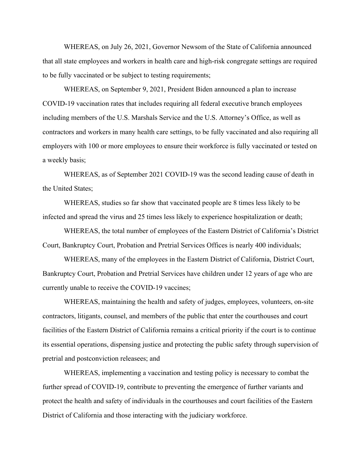WHEREAS, on July 26, 2021, Governor Newsom of the State of California announced that all state employees and workers in health care and high-risk congregate settings are required to be fully vaccinated or be subject to testing requirements;

WHEREAS, on September 9, 2021, President Biden announced a plan to increase COVID-19 vaccination rates that includes requiring all federal executive branch employees including members of the U.S. Marshals Service and the U.S. Attorney's Office, as well as contractors and workers in many health care settings, to be fully vaccinated and also requiring all employers with 100 or more employees to ensure their workforce is fully vaccinated or tested on a weekly basis;

WHEREAS, as of September 2021 COVID-19 was the second leading cause of death in the United States;

WHEREAS, studies so far show that vaccinated people are 8 times less likely to be infected and spread the virus and 25 times less likely to experience hospitalization or death;

WHEREAS, the total number of employees of the Eastern District of California's District Court, Bankruptcy Court, Probation and Pretrial Services Offices is nearly 400 individuals;

WHEREAS, many of the employees in the Eastern District of California, District Court, Bankruptcy Court, Probation and Pretrial Services have children under 12 years of age who are currently unable to receive the COVID-19 vaccines;

WHEREAS, maintaining the health and safety of judges, employees, volunteers, on-site contractors, litigants, counsel, and members of the public that enter the courthouses and court facilities of the Eastern District of California remains a critical priority if the court is to continue its essential operations, dispensing justice and protecting the public safety through supervision of pretrial and postconviction releasees; and

WHEREAS, implementing a vaccination and testing policy is necessary to combat the further spread of COVID-19, contribute to preventing the emergence of further variants and protect the health and safety of individuals in the courthouses and court facilities of the Eastern District of California and those interacting with the judiciary workforce.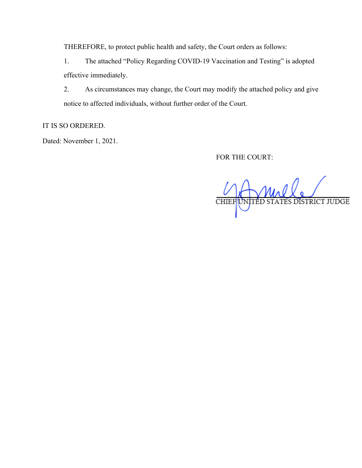THEREFORE, to protect public health and safety, the Court orders as follows:

1. The attached "Policy Regarding COVID-19 Vaccination and Testing" is adopted effective immediately.

2. As circumstances may change, the Court may modify the attached policy and give notice to affected individuals, without further order of the Court.

IT IS SO ORDERED.

Dated: November 1, 2021.

FOR THE COURT:

TATES DISTRICT JUDGE UNITÉD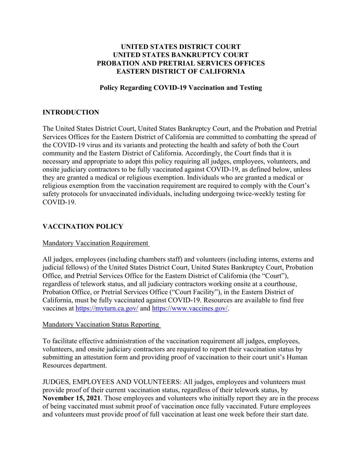## **UNITED STATES DISTRICT COURT UNITED STATES BANKRUPTCY COURT PROBATION AND PRETRIAL SERVICES OFFICES EASTERN DISTRICT OF CALIFORNIA**

#### **Policy Regarding COVID-19 Vaccination and Testing**

## **INTRODUCTION**

The United States District Court, United States Bankruptcy Court, and the Probation and Pretrial Services Offices for the Eastern District of California are committed to combatting the spread of the COVID-19 virus and its variants and protecting the health and safety of both the Court community and the Eastern District of California. Accordingly, the Court finds that it is necessary and appropriate to adopt this policy requiring all judges, employees, volunteers, and onsite judiciary contractors to be fully vaccinated against COVID-19, as defined below, unless they are granted a medical or religious exemption. Individuals who are granted a medical or religious exemption from the vaccination requirement are required to comply with the Court's safety protocols for unvaccinated individuals, including undergoing twice-weekly testing for COVID-19.

### **VACCINATION POLICY**

#### Mandatory Vaccination Requirement

All judges, employees (including chambers staff) and volunteers (including interns, externs and judicial fellows) of the United States District Court, United States Bankruptcy Court, Probation Office, and Pretrial Services Office for the Eastern District of California (the "Court"), regardless of telework status, and all judiciary contractors working onsite at a courthouse, Probation Office, or Pretrial Services Office ("Court Facility"), in the Eastern District of California, must be fully vaccinated against COVID-19. Resources are available to find free vaccines at https://myturn.ca.gov/ and https://www.vaccines.gov/.

#### Mandatory Vaccination Status Reporting

To facilitate effective administration of the vaccination requirement all judges, employees, volunteers, and onsite judiciary contractors are required to report their vaccination status by submitting an attestation form and providing proof of vaccination to their court unit's Human Resources department.

JUDGES, EMPLOYEES AND VOLUNTEERS: All judges, employees and volunteers must provide proof of their current vaccination status, regardless of their telework status, by **November 15, 2021**. Those employees and volunteers who initially report they are in the process of being vaccinated must submit proof of vaccination once fully vaccinated. Future employees and volunteers must provide proof of full vaccination at least one week before their start date.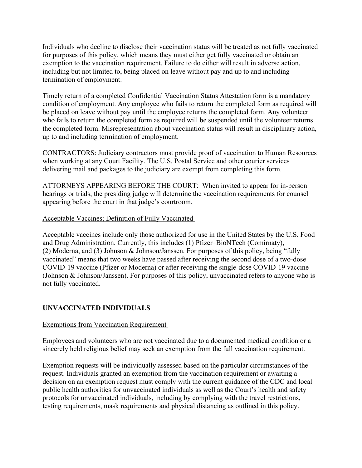Individuals who decline to disclose their vaccination status will be treated as not fully vaccinated for purposes of this policy, which means they must either get fully vaccinated or obtain an exemption to the vaccination requirement. Failure to do either will result in adverse action, including but not limited to, being placed on leave without pay and up to and including termination of employment.

Timely return of a completed Confidential Vaccination Status Attestation form is a mandatory condition of employment. Any employee who fails to return the completed form as required will be placed on leave without pay until the employee returns the completed form. Any volunteer who fails to return the completed form as required will be suspended until the volunteer returns the completed form. Misrepresentation about vaccination status will result in disciplinary action, up to and including termination of employment.

CONTRACTORS: Judiciary contractors must provide proof of vaccination to Human Resources when working at any Court Facility. The U.S. Postal Service and other courier services delivering mail and packages to the judiciary are exempt from completing this form.

ATTORNEYS APPEARING BEFORE THE COURT: When invited to appear for in-person hearings or trials, the presiding judge will determine the vaccination requirements for counsel appearing before the court in that judge's courtroom.

### Acceptable Vaccines; Definition of Fully Vaccinated

Acceptable vaccines include only those authorized for use in the United States by the U.S. Food and Drug Administration. Currently, this includes (1) Pfizer–BioNTech (Comirnaty), (2) Moderna, and (3) Johnson & Johnson/Janssen. For purposes of this policy, being "fully vaccinated" means that two weeks have passed after receiving the second dose of a two-dose COVID-19 vaccine (Pfizer or Moderna) or after receiving the single-dose COVID-19 vaccine (Johnson & Johnson/Janssen). For purposes of this policy, unvaccinated refers to anyone who is not fully vaccinated.

## **UNVACCINATED INDIVIDUALS**

## Exemptions from Vaccination Requirement

Employees and volunteers who are not vaccinated due to a documented medical condition or a sincerely held religious belief may seek an exemption from the full vaccination requirement.

Exemption requests will be individually assessed based on the particular circumstances of the request. Individuals granted an exemption from the vaccination requirement or awaiting a decision on an exemption request must comply with the current guidance of the CDC and local public health authorities for unvaccinated individuals as well as the Court's health and safety protocols for unvaccinated individuals, including by complying with the travel restrictions, testing requirements, mask requirements and physical distancing as outlined in this policy.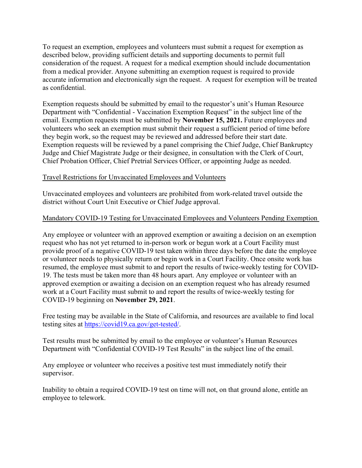To request an exemption, employees and volunteers must submit a request for exemption as described below, providing sufficient details and supporting documents to permit full consideration of the request. A request for a medical exemption should include documentation from a medical provider. Anyone submitting an exemption request is required to provide accurate information and electronically sign the request. A request for exemption will be treated as confidential.

Exemption requests should be submitted by email to the requestor's unit's Human Resource Department with "Confidential - Vaccination Exemption Request" in the subject line of the email. Exemption requests must be submitted by **November 15, 2021.** Future employees and volunteers who seek an exemption must submit their request a sufficient period of time before they begin work, so the request may be reviewed and addressed before their start date. Exemption requests will be reviewed by a panel comprising the Chief Judge, Chief Bankruptcy Judge and Chief Magistrate Judge or their designee, in consultation with the Clerk of Court, Chief Probation Officer, Chief Pretrial Services Officer, or appointing Judge as needed.

### Travel Restrictions for Unvaccinated Employees and Volunteers

Unvaccinated employees and volunteers are prohibited from work-related travel outside the district without Court Unit Executive or Chief Judge approval.

### Mandatory COVID-19 Testing for Unvaccinated Employees and Volunteers Pending Exemption

Any employee or volunteer with an approved exemption or awaiting a decision on an exemption request who has not yet returned to in-person work or begun work at a Court Facility must provide proof of a negative COVID-19 test taken within three days before the date the employee or volunteer needs to physically return or begin work in a Court Facility. Once onsite work has resumed, the employee must submit to and report the results of twice-weekly testing for COVID-19. The tests must be taken more than 48 hours apart. Any employee or volunteer with an approved exemption or awaiting a decision on an exemption request who has already resumed work at a Court Facility must submit to and report the results of twice-weekly testing for COVID-19 beginning on **November 29, 2021**.

Free testing may be available in the State of California, and resources are available to find local testing sites at https://covid19.ca.gov/get-tested/.

Test results must be submitted by email to the employee or volunteer's Human Resources Department with "Confidential COVID-19 Test Results" in the subject line of the email.

Any employee or volunteer who receives a positive test must immediately notify their supervisor.

Inability to obtain a required COVID-19 test on time will not, on that ground alone, entitle an employee to telework.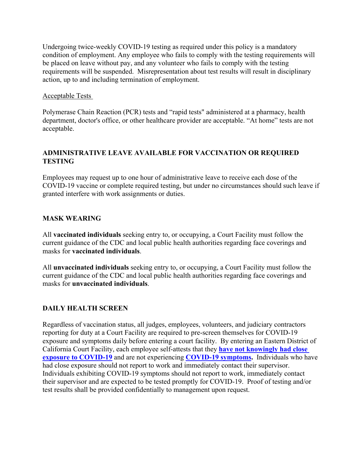Undergoing twice-weekly COVID-19 testing as required under this policy is a mandatory condition of employment. Any employee who fails to comply with the testing requirements will be placed on leave without pay, and any volunteer who fails to comply with the testing requirements will be suspended. Misrepresentation about test results will result in disciplinary action, up to and including termination of employment.

### Acceptable Tests

Polymerase Chain Reaction (PCR) tests and "rapid tests" administered at a pharmacy, health department, doctor's office, or other healthcare provider are acceptable. "At home" tests are not acceptable.

# **ADMINISTRATIVE LEAVE AVAILABLE FOR VACCINATION OR REQUIRED TESTING**

Employees may request up to one hour of administrative leave to receive each dose of the COVID-19 vaccine or complete required testing, but under no circumstances should such leave if granted interfere with work assignments or duties.

## **MASK WEARING**

All **vaccinated individuals** seeking entry to, or occupying, a Court Facility must follow the current guidance of the CDC and local public health authorities regarding face coverings and masks for **vaccinated individuals**.

All **unvaccinated individuals** seeking entry to, or occupying, a Court Facility must follow the current guidance of the CDC and local public health authorities regarding face coverings and masks for **unvaccinated individuals**.

## **DAILY HEALTH SCREEN**

Regardless of vaccination status, all judges, employees, volunteers, and judiciary contractors reporting for duty at a Court Facility are required to pre-screen themselves for COVID-19 exposure and symptoms daily before entering a court facility. By entering an Eastern District of California Court Facility, each employee self-attests that they **have not knowingly had close exposure to COVID-19** and are not experiencing **COVID-19 symptoms.** Individuals who have had close exposure should not report to work and immediately contact their supervisor. Individuals exhibiting COVID-19 symptoms should not report to work, immediately contact their supervisor and are expected to be tested promptly for COVID-19. Proof of testing and/or test results shall be provided confidentially to management upon request.